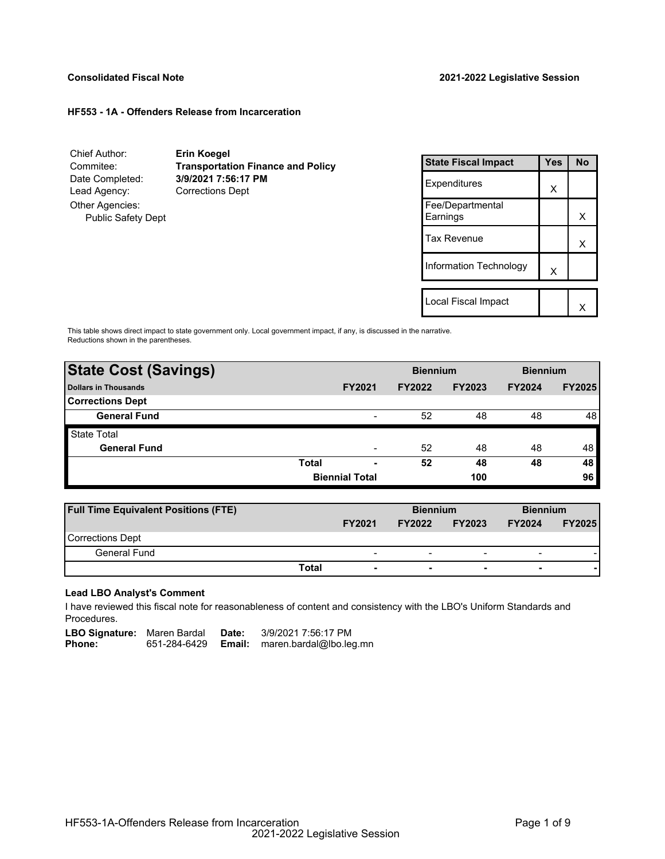# **Consolidated Fiscal Note 2021-2022 Legislative Session**

#### **HF553 - 1A - Offenders Release from Incarceration**

| Chief Author:<br>Commitee: | <b>Erin Koegel</b><br><b>Transportation Finance and Policy</b> |
|----------------------------|----------------------------------------------------------------|
| Date Completed:            | 3/9/2021 7:56:17 PM                                            |
| Lead Agency:               | <b>Corrections Dept</b>                                        |
| Other Agencies:            |                                                                |
| <b>Public Safety Dept</b>  |                                                                |
|                            |                                                                |
|                            |                                                                |

| <b>State Fiscal Impact</b>   | Yes | <b>No</b> |
|------------------------------|-----|-----------|
| Expenditures                 | x   |           |
| Fee/Departmental<br>Earnings |     | x         |
| Tax Revenue                  |     | x         |
| Information Technology       | X   |           |
|                              |     |           |
| Local Fiscal Impact          |     |           |

This table shows direct impact to state government only. Local government impact, if any, is discussed in the narrative. Reductions shown in the parentheses.

| <b>State Cost (Savings)</b> |              |                       | <b>Biennium</b> |               | <b>Biennium</b> |               |
|-----------------------------|--------------|-----------------------|-----------------|---------------|-----------------|---------------|
| <b>Dollars in Thousands</b> |              | <b>FY2021</b>         | <b>FY2022</b>   | <b>FY2023</b> | <b>FY2024</b>   | <b>FY2025</b> |
| <b>Corrections Dept</b>     |              |                       |                 |               |                 |               |
| <b>General Fund</b>         |              | -                     | 52              | 48            | 48              | 48            |
| <b>State Total</b>          |              |                       |                 |               |                 |               |
| <b>General Fund</b>         |              |                       | 52              | 48            | 48              | 48            |
|                             | <b>Total</b> | ٠                     | 52              | 48            | 48              | 48            |
|                             |              | <b>Biennial Total</b> |                 | 100           |                 | 96            |

| <b>Full Time Equivalent Positions (FTE)</b> |                                   | <b>Biennium</b> |                          | <b>Biennium</b>          |               |
|---------------------------------------------|-----------------------------------|-----------------|--------------------------|--------------------------|---------------|
|                                             | <b>FY2021</b>                     | <b>FY2022</b>   | <b>FY2023</b>            | <b>FY2024</b>            | <b>FY2025</b> |
| Corrections Dept                            |                                   |                 |                          |                          |               |
| General Fund                                | $\overline{\phantom{0}}$          | -               | $\overline{\phantom{0}}$ | $\overline{\phantom{0}}$ |               |
|                                             | Total<br>$\overline{\phantom{0}}$ | ۰               | $\overline{\phantom{0}}$ | $\overline{\phantom{0}}$ |               |

## **Lead LBO Analyst's Comment**

-

I have reviewed this fiscal note for reasonableness of content and consistency with the LBO's Uniform Standards and Procedures.

| <b>LBO Signature:</b> Maren Bardal |              | Date:  | 3/9/2021 7:56:17 PM     |
|------------------------------------|--------------|--------|-------------------------|
| <b>Phone:</b>                      | 651-284-6429 | Email: | maren.bardal@lbo.leg.mn |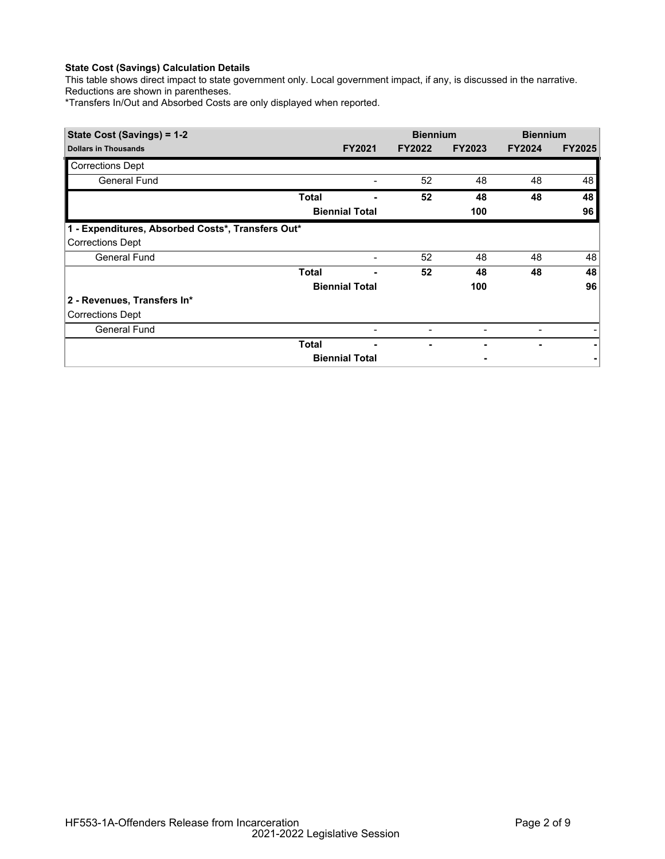# **State Cost (Savings) Calculation Details**

This table shows direct impact to state government only. Local government impact, if any, is discussed in the narrative. Reductions are shown in parentheses.

\*Transfers In/Out and Absorbed Costs are only displayed when reported.

| State Cost (Savings) = 1-2                        |              |                          | <b>Biennium</b> |               | <b>Biennium</b> |               |
|---------------------------------------------------|--------------|--------------------------|-----------------|---------------|-----------------|---------------|
| <b>Dollars in Thousands</b>                       |              | <b>FY2021</b>            | <b>FY2022</b>   | <b>FY2023</b> | <b>FY2024</b>   | <b>FY2025</b> |
| <b>Corrections Dept</b>                           |              |                          |                 |               |                 |               |
| General Fund                                      |              |                          | 52              | 48            | 48              | 48            |
|                                                   | Total        |                          | 52              | 48            | 48              | 48            |
|                                                   |              | <b>Biennial Total</b>    |                 | 100           |                 | 96            |
| 1 - Expenditures, Absorbed Costs*, Transfers Out* |              |                          |                 |               |                 |               |
| <b>Corrections Dept</b>                           |              |                          |                 |               |                 |               |
| <b>General Fund</b>                               |              | $\overline{\phantom{a}}$ | 52              | 48            | 48              | 48            |
|                                                   | <b>Total</b> |                          | 52              | 48            | 48              | 48            |
|                                                   |              | <b>Biennial Total</b>    |                 | 100           |                 | 96            |
| 2 - Revenues, Transfers In*                       |              |                          |                 |               |                 |               |
| <b>Corrections Dept</b>                           |              |                          |                 |               |                 |               |
| General Fund                                      |              |                          |                 |               |                 |               |
|                                                   | Total        |                          |                 |               |                 |               |
|                                                   |              | <b>Biennial Total</b>    |                 |               |                 |               |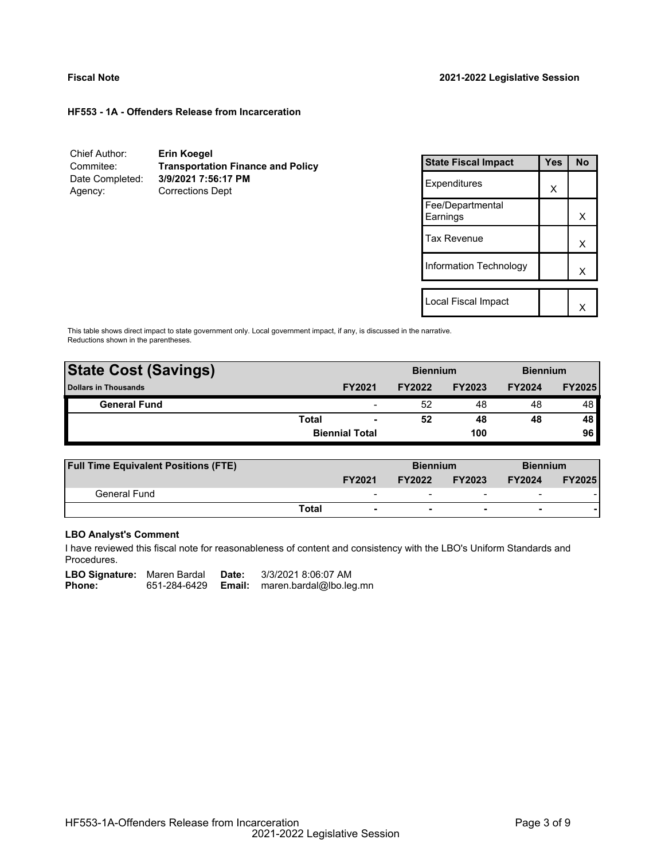#### **HF553 - 1A - Offenders Release from Incarceration**

| Chief Author:   | Erin Koegel                              |
|-----------------|------------------------------------------|
| Commitee:       | <b>Transportation Finance and Policy</b> |
| Date Completed: | 3/9/2021 7:56:17 PM                      |
| Agency:         | <b>Corrections Dept</b>                  |

| <b>State Fiscal Impact</b>   | Yes | <b>No</b> |
|------------------------------|-----|-----------|
| Expenditures                 | x   |           |
| Fee/Departmental<br>Earnings |     | x         |
| Tax Revenue                  |     | х         |
| Information Technology       |     | x         |
| Local Fiscal Impact          |     |           |
|                              |     |           |

This table shows direct impact to state government only. Local government impact, if any, is discussed in the narrative. Reductions shown in the parentheses.

| <b>State Cost (Savings)</b> |       | <b>Biennium</b>          |               | <b>Biennium</b> |               |               |
|-----------------------------|-------|--------------------------|---------------|-----------------|---------------|---------------|
| <b>Dollars in Thousands</b> |       | <b>FY2021</b>            | <b>FY2022</b> | <b>FY2023</b>   | <b>FY2024</b> | <b>FY2025</b> |
| <b>General Fund</b>         |       | $\overline{\phantom{a}}$ | 52            | 48              | 48            | 48 I          |
|                             | Total | $\overline{\phantom{0}}$ | 52            | 48              | 48            | 48            |
|                             |       | <b>Biennial Total</b>    |               | 100             |               | 96            |
|                             |       |                          |               |                 |               |               |

| <b>Full Time Equivalent Positions (FTE)</b> |                          |               | <b>Biennium</b>          |                          | <b>Biennium</b> |
|---------------------------------------------|--------------------------|---------------|--------------------------|--------------------------|-----------------|
|                                             | <b>FY2021</b>            | <b>FY2022</b> | <b>FY2023</b>            | <b>FY2024</b>            | <b>FY2025</b>   |
| General Fund                                | $\overline{\phantom{0}}$ | -             | $\overline{\phantom{0}}$ | $\overline{\phantom{a}}$ |                 |
| Total                                       |                          |               | $\overline{\phantom{0}}$ | $\overline{\phantom{0}}$ |                 |

## **LBO Analyst's Comment**

I have reviewed this fiscal note for reasonableness of content and consistency with the LBO's Uniform Standards and Procedures.

| <b>LBO Signature:</b> Maren Bardal |              | Date:  | 3/3/2021 8:06:07 AM     |
|------------------------------------|--------------|--------|-------------------------|
| Phone:                             | 651-284-6429 | Email: | maren.bardal@lbo.leg.mn |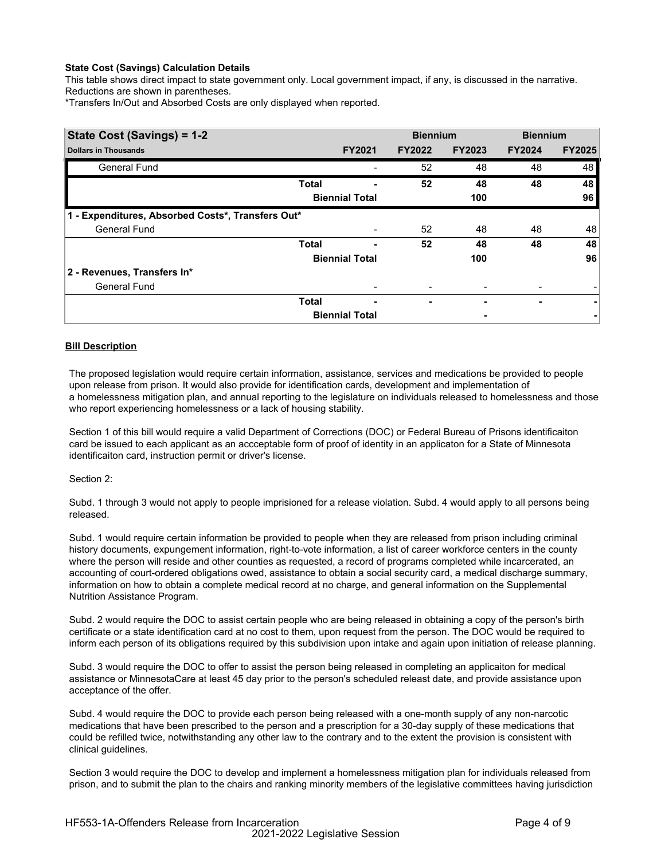## **State Cost (Savings) Calculation Details**

This table shows direct impact to state government only. Local government impact, if any, is discussed in the narrative. Reductions are shown in parentheses.

\*Transfers In/Out and Absorbed Costs are only displayed when reported.

| State Cost (Savings) = 1-2                        |              |                       | <b>Biennium</b> |               | <b>Biennium</b> |               |
|---------------------------------------------------|--------------|-----------------------|-----------------|---------------|-----------------|---------------|
| <b>Dollars in Thousands</b>                       |              | <b>FY2021</b>         | <b>FY2022</b>   | <b>FY2023</b> | <b>FY2024</b>   | <b>FY2025</b> |
| General Fund                                      |              |                       | 52              | 48            | 48              | 48            |
|                                                   | <b>Total</b> |                       | 52              | 48            | 48              | 48            |
|                                                   |              | <b>Biennial Total</b> |                 | 100           |                 | 96            |
| 1 - Expenditures, Absorbed Costs*, Transfers Out* |              |                       |                 |               |                 |               |
| General Fund                                      |              |                       | 52              | 48            | 48              | 48            |
|                                                   | <b>Total</b> |                       | 52              | 48            | 48              | 48            |
|                                                   |              | <b>Biennial Total</b> |                 | 100           |                 | 96            |
| 2 - Revenues, Transfers In*                       |              |                       |                 |               |                 |               |
| <b>General Fund</b>                               |              |                       |                 |               |                 |               |
|                                                   | <b>Total</b> | ۰                     | ۰               | ٠             | ٠               | ۰             |
|                                                   |              | <b>Biennial Total</b> |                 |               |                 |               |

## **Bill Description**

The proposed legislation would require certain information, assistance, services and medications be provided to people upon release from prison. It would also provide for identification cards, development and implementation of a homelessness mitigation plan, and annual reporting to the legislature on individuals released to homelessness and those who report experiencing homelessness or a lack of housing stability.

Section 1 of this bill would require a valid Department of Corrections (DOC) or Federal Bureau of Prisons identificaiton card be issued to each applicant as an accceptable form of proof of identity in an applicaton for a State of Minnesota identificaiton card, instruction permit or driver's license.

### Section 2:

Subd. 1 through 3 would not apply to people imprisioned for a release violation. Subd. 4 would apply to all persons being released.

Subd. 1 would require certain information be provided to people when they are released from prison including criminal history documents, expungement information, right-to-vote information, a list of career workforce centers in the county where the person will reside and other counties as requested, a record of programs completed while incarcerated, an accounting of court-ordered obligations owed, assistance to obtain a social security card, a medical discharge summary, information on how to obtain a complete medical record at no charge, and general information on the Supplemental Nutrition Assistance Program.

Subd. 2 would require the DOC to assist certain people who are being released in obtaining a copy of the person's birth certificate or a state identification card at no cost to them, upon request from the person. The DOC would be required to inform each person of its obligations required by this subdivision upon intake and again upon initiation of release planning.

Subd. 3 would require the DOC to offer to assist the person being released in completing an applicaiton for medical assistance or MinnesotaCare at least 45 day prior to the person's scheduled releast date, and provide assistance upon acceptance of the offer.

Subd. 4 would require the DOC to provide each person being released with a one-month supply of any non-narcotic medications that have been prescribed to the person and a prescription for a 30-day supply of these medications that could be refilled twice, notwithstanding any other law to the contrary and to the extent the provision is consistent with clinical guidelines.

Section 3 would require the DOC to develop and implement a homelessness mitigation plan for individuals released from prison, and to submit the plan to the chairs and ranking minority members of the legislative committees having jurisdiction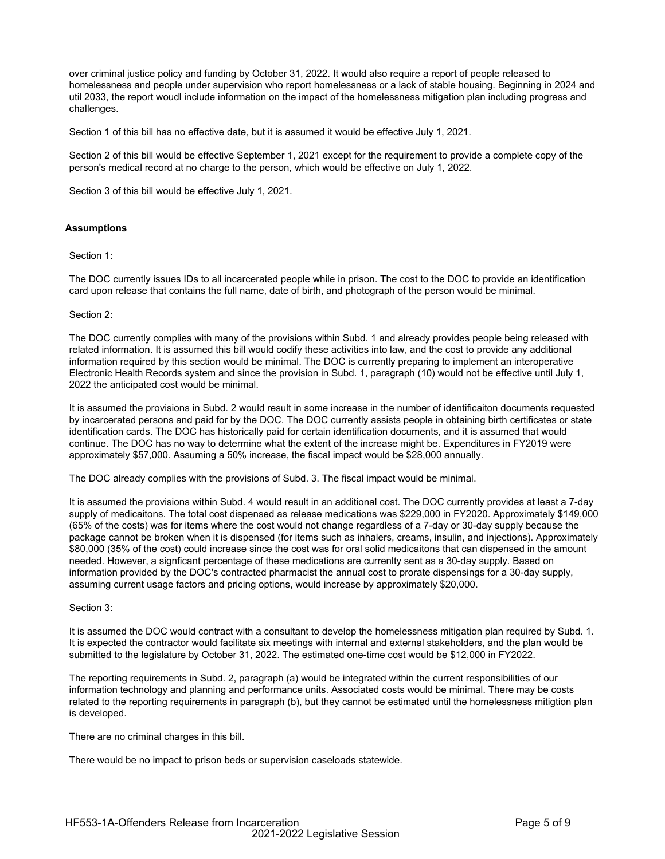over criminal justice policy and funding by October 31, 2022. It would also require a report of people released to homelessness and people under supervision who report homelessness or a lack of stable housing. Beginning in 2024 and util 2033, the report woudl include information on the impact of the homelessness mitigation plan including progress and challenges.

Section 1 of this bill has no effective date, but it is assumed it would be effective July 1, 2021.

Section 2 of this bill would be effective September 1, 2021 except for the requirement to provide a complete copy of the person's medical record at no charge to the person, which would be effective on July 1, 2022.

Section 3 of this bill would be effective July 1, 2021.

### **Assumptions**

#### Section 1:

The DOC currently issues IDs to all incarcerated people while in prison. The cost to the DOC to provide an identification card upon release that contains the full name, date of birth, and photograph of the person would be minimal.

#### Section 2:

The DOC currently complies with many of the provisions within Subd. 1 and already provides people being released with related information. It is assumed this bill would codify these activities into law, and the cost to provide any additional information required by this section would be minimal. The DOC is currently preparing to implement an interoperative Electronic Health Records system and since the provision in Subd. 1, paragraph (10) would not be effective until July 1, 2022 the anticipated cost would be minimal.

It is assumed the provisions in Subd. 2 would result in some increase in the number of identificaiton documents requested by incarcerated persons and paid for by the DOC. The DOC currently assists people in obtaining birth certificates or state identification cards. The DOC has historically paid for certain identification documents, and it is assumed that would continue. The DOC has no way to determine what the extent of the increase might be. Expenditures in FY2019 were approximately \$57,000. Assuming a 50% increase, the fiscal impact would be \$28,000 annually.

The DOC already complies with the provisions of Subd. 3. The fiscal impact would be minimal.

It is assumed the provisions within Subd. 4 would result in an additional cost. The DOC currently provides at least a 7-day supply of medicaitons. The total cost dispensed as release medications was \$229,000 in FY2020. Approximately \$149,000 (65% of the costs) was for items where the cost would not change regardless of a 7-day or 30-day supply because the package cannot be broken when it is dispensed (for items such as inhalers, creams, insulin, and injections). Approximately \$80,000 (35% of the cost) could increase since the cost was for oral solid medicaitons that can dispensed in the amount needed. However, a signficant percentage of these medications are currenlty sent as a 30-day supply. Based on information provided by the DOC's contracted pharmacist the annual cost to prorate dispensings for a 30-day supply, assuming current usage factors and pricing options, would increase by approximately \$20,000.

### Section 3:

It is assumed the DOC would contract with a consultant to develop the homelessness mitigation plan required by Subd. 1. It is expected the contractor would facilitate six meetings with internal and external stakeholders, and the plan would be submitted to the legislature by October 31, 2022. The estimated one-time cost would be \$12,000 in FY2022.

The reporting requirements in Subd. 2, paragraph (a) would be integrated within the current responsibilities of our information technology and planning and performance units. Associated costs would be minimal. There may be costs related to the reporting requirements in paragraph (b), but they cannot be estimated until the homelessness mitigtion plan is developed.

There are no criminal charges in this bill.

There would be no impact to prison beds or supervision caseloads statewide.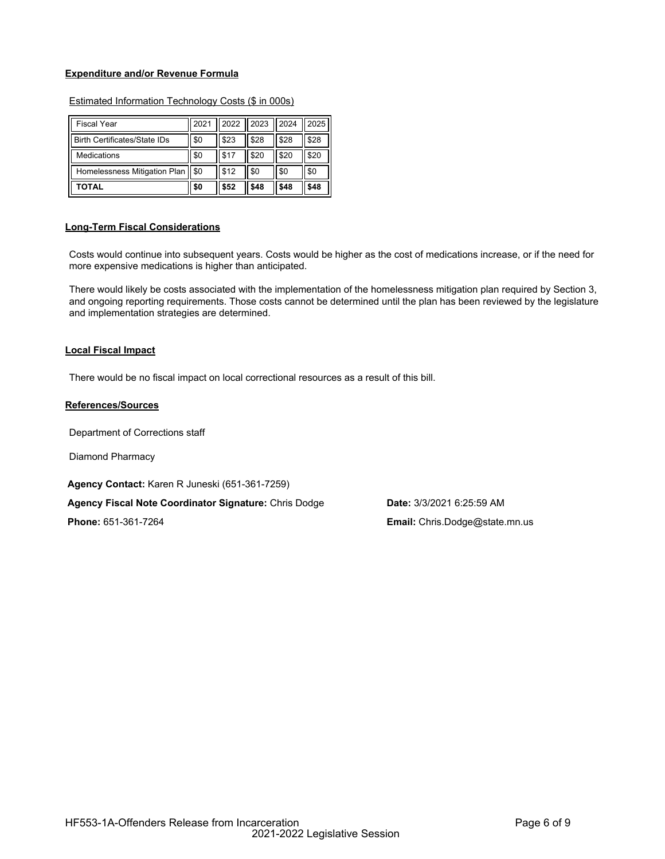### **Expenditure and/or Revenue Formula**

| <b>Fiscal Year</b>                 | 2021 | 2022   | 2023 | 2024 | 2025 |
|------------------------------------|------|--------|------|------|------|
| Birth Certificates/State IDs       | \$0  | \$23   | \$28 | \$28 | \$28 |
| Medications                        | \$0  | l \$17 | \$20 | \$20 | \$20 |
| Homelessness Mitigation Plan   \$0 |      | l \$12 | \$0  | \$0  | \$0  |
| ΤΟΤΑL                              | \$0  | \$52   | \$48 | \$48 | \$48 |

## Estimated Information Technology Costs (\$ in 000s)

## **Long-Term Fiscal Considerations**

Costs would continue into subsequent years. Costs would be higher as the cost of medications increase, or if the need for more expensive medications is higher than anticipated.

There would likely be costs associated with the implementation of the homelessness mitigation plan required by Section 3, and ongoing reporting requirements. Those costs cannot be determined until the plan has been reviewed by the legislature and implementation strategies are determined.

#### **Local Fiscal Impact**

There would be no fiscal impact on local correctional resources as a result of this bill.

## **References/Sources**

Department of Corrections staff

Diamond Pharmacy

**Agency Contact:** Karen R Juneski (651-361-7259)

**Agency Fiscal Note Coordinator Signature:** Chris Dodge **Date:** 3/3/2021 6:25:59 AM

**Phone:** 651-361-7264 **Email:** Chris.Dodge@state.mn.us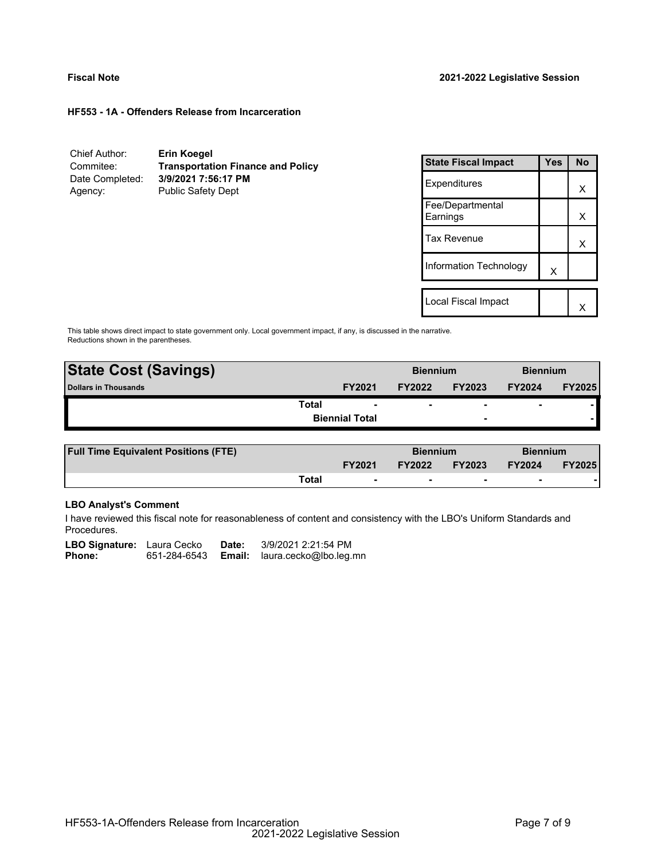#### **HF553 - 1A - Offenders Release from Incarceration**

| Chief Author:   | Erin Koegel                              |
|-----------------|------------------------------------------|
| Commitee:       | <b>Transportation Finance and Policy</b> |
| Date Completed: | 3/9/2021 7:56:17 PM                      |
| Agency:         | <b>Public Safety Dept</b>                |

| <b>State Fiscal Impact</b>   | Yes | <b>No</b> |
|------------------------------|-----|-----------|
| Expenditures                 |     | x         |
| Fee/Departmental<br>Earnings |     | х         |
| <b>Tax Revenue</b>           |     | x         |
| Information Technology       | X   |           |
|                              |     |           |
| Local Fiscal Impact          |     |           |

This table shows direct impact to state government only. Local government impact, if any, is discussed in the narrative. Reductions shown in the parentheses.

| <b>State Cost (Savings)</b> |                       | <b>Biennium</b> |                          | <b>Biennium</b>          |               |
|-----------------------------|-----------------------|-----------------|--------------------------|--------------------------|---------------|
| Dollars in Thousands        | <b>FY2021</b>         | <b>FY2022</b>   | <b>FY2023</b>            | <b>FY2024</b>            | <b>FY2025</b> |
| Total                       |                       |                 | $\overline{\phantom{0}}$ | $\overline{\phantom{0}}$ |               |
|                             | <b>Biennial Total</b> |                 | $\overline{\phantom{0}}$ |                          |               |
|                             |                       |                 |                          |                          |               |

| <b>Full Time Equivalent Positions (FTE)</b> |       |                          | <b>Biennium</b> |                          | <b>Biennium</b> |               |
|---------------------------------------------|-------|--------------------------|-----------------|--------------------------|-----------------|---------------|
|                                             |       | <b>FY2021</b>            | <b>FY2022</b>   | <b>FY2023</b>            | <b>FY2024</b>   | <b>FY2025</b> |
|                                             | Total | $\overline{\phantom{0}}$ |                 | $\overline{\phantom{0}}$ |                 |               |

# **LBO Analyst's Comment**

I have reviewed this fiscal note for reasonableness of content and consistency with the LBO's Uniform Standards and Procedures.

| <b>LBO Signature:</b> Laura Cecko |              | Date:  | 3/9/2021 2:21:54 PM    |
|-----------------------------------|--------------|--------|------------------------|
| <b>Phone:</b>                     | 651-284-6543 | Email: | laura.cecko@lbo.leg.mn |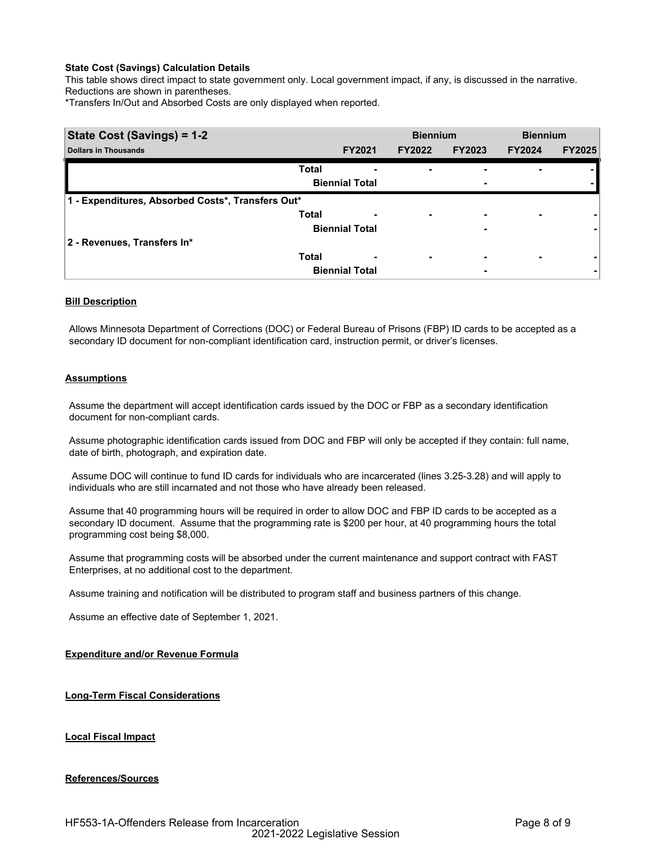## **State Cost (Savings) Calculation Details**

This table shows direct impact to state government only. Local government impact, if any, is discussed in the narrative. Reductions are shown in parentheses.

\*Transfers In/Out and Absorbed Costs are only displayed when reported.

| State Cost (Savings) = 1-2                        |              | <b>Biennium</b>       |                          | <b>Biennium</b>          |               |               |
|---------------------------------------------------|--------------|-----------------------|--------------------------|--------------------------|---------------|---------------|
| <b>Dollars in Thousands</b>                       |              | <b>FY2021</b>         | <b>FY2022</b>            | <b>FY2023</b>            | <b>FY2024</b> | <b>FY2025</b> |
|                                                   | <b>Total</b> |                       |                          |                          |               |               |
|                                                   |              | <b>Biennial Total</b> |                          | ۰                        |               |               |
| 1 - Expenditures, Absorbed Costs*, Transfers Out* |              |                       |                          |                          |               |               |
|                                                   | <b>Total</b> | ٠                     | ۰                        | $\overline{\phantom{0}}$ | ۰             |               |
|                                                   |              | <b>Biennial Total</b> |                          | ٠                        |               |               |
| 2 - Revenues, Transfers In*                       |              |                       |                          |                          |               |               |
|                                                   | <b>Total</b> | ٠                     | $\overline{\phantom{0}}$ | -                        | ۰             |               |
|                                                   |              | <b>Biennial Total</b> |                          | ۰                        |               | ۰             |

## **Bill Description**

Allows Minnesota Department of Corrections (DOC) or Federal Bureau of Prisons (FBP) ID cards to be accepted as a secondary ID document for non-compliant identification card, instruction permit, or driver's licenses.

### **Assumptions**

Assume the department will accept identification cards issued by the DOC or FBP as a secondary identification document for non-compliant cards.

Assume photographic identification cards issued from DOC and FBP will only be accepted if they contain: full name, date of birth, photograph, and expiration date.

 Assume DOC will continue to fund ID cards for individuals who are incarcerated (lines 3.25-3.28) and will apply to individuals who are still incarnated and not those who have already been released.

Assume that 40 programming hours will be required in order to allow DOC and FBP ID cards to be accepted as a secondary ID document. Assume that the programming rate is \$200 per hour, at 40 programming hours the total programming cost being \$8,000.

Assume that programming costs will be absorbed under the current maintenance and support contract with FAST Enterprises, at no additional cost to the department.

Assume training and notification will be distributed to program staff and business partners of this change.

Assume an effective date of September 1, 2021.

### **Expenditure and/or Revenue Formula**

**Long-Term Fiscal Considerations**

**Local Fiscal Impact**

### **References/Sources**